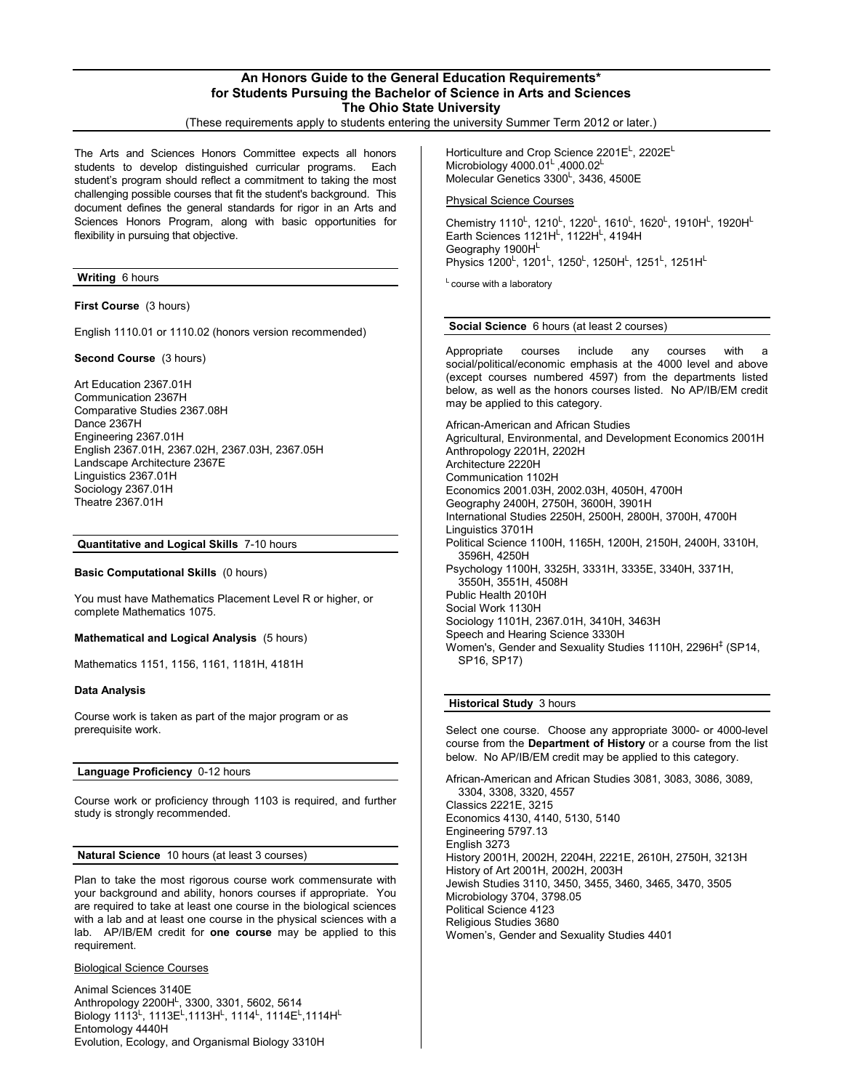## **An Honors Guide to the General Education Requirements\* for Students Pursuing the Bachelor of Science in Arts and Sciences The Ohio State University**

(These requirements apply to students entering the university Summer Term 2012 or later.)

The Arts and Sciences Honors Committee expects all honors students to develop distinguished curricular programs. Each student's program should reflect a commitment to taking the most challenging possible courses that fit the student's background. This document defines the general standards for rigor in an Arts and Sciences Honors Program, along with basic opportunities for flexibility in pursuing that objective.

## **Writing** 6 hours

**First Course** (3 hours)

English 1110.01 or 1110.02 (honors version recommended)

**Second Course** (3 hours)

Art Education 2367.01H Communication 2367H Comparative Studies 2367.08H Dance 2367H Engineering 2367.01H English 2367.01H, 2367.02H, 2367.03H, 2367.05H Landscape Architecture 2367E Linguistics 2367.01H Sociology 2367.01H Theatre 2367.01H

### **Quantitative and Logical Skills** 7-10 hours

**Basic Computational Skills** (0 hours)

You must have Mathematics Placement Level R or higher, or complete Mathematics 1075.

#### **Mathematical and Logical Analysis** (5 hours)

Mathematics 1151, 1156, 1161, 1181H, 4181H

### **Data Analysis**

Course work is taken as part of the major program or as prerequisite work.

# **Language Proficiency** 0-12 hours

Course work or proficiency through 1103 is required, and further study is strongly recommended.

#### **Natural Science** 10 hours (at least 3 courses)

Plan to take the most rigorous course work commensurate with your background and ability, honors courses if appropriate. You are required to take at least one course in the biological sciences with a lab and at least one course in the physical sciences with a lab. AP/IB/EM credit for **one course** may be applied to this requirement.

### Biological Science Courses

Animal Sciences 3140E Anthropology 2200H<sup>L</sup>, 3300, 3301, 5602, 5614<br>Biology 1113<sup>L</sup>, 1113E<sup>L</sup>,1113H<sup>L</sup>, 1114<sup>L</sup>, 1114E<sup>L</sup>,1114H<sup>L</sup> Entomology 4440H Evolution, Ecology, and Organismal Biology 3310H

Horticulture and Crop Science 2201E<sup>L</sup>, 2202E<sup>L</sup> Microbiology  $4000.01<sup>L</sup>$ , 4000.02<sup>L</sup> Molecular Genetics 3300<sup>L</sup>, 3436, 4500E

### Physical Science Courses

Chemistry 1110<sup>L</sup>, 1210<sup>L</sup>, 1220<sup>L</sup>, 1610<sup>L</sup>, 1620<sup>L</sup>, 1910H<sup>L</sup>, 1920H<sup>L</sup> Earth Sciences 1121HL, 1122HL, 4194H Geography 1900HL Physics 1200<sup>L</sup>, 1201<sup>L</sup>, 1250<sup>L</sup>, 1250H<sup>L</sup>, 1251<sup>L</sup>, 1251H<sup>L</sup>

 $L$  course with a laboratory

#### **Social Science** 6 hours (at least 2 courses)

Appropriate courses include any courses with social/political/economic emphasis at the 4000 level and above (except courses numbered 4597) from the departments listed below, as well as the honors courses listed. No AP/IB/EM credit may be applied to this category.

African-American and African Studies Agricultural, Environmental, and Development Economics 2001H Anthropology 2201H, 2202H Architecture 2220H Communication 1102H Economics 2001.03H, 2002.03H, 4050H, 4700H Geography 2400H, 2750H, 3600H, 3901H International Studies 2250H, 2500H, 2800H, 3700H, 4700H Linguistics 3701H Political Science 1100H, 1165H, 1200H, 2150H, 2400H, 3310H, 3596H, 4250H Psychology 1100H, 3325H, 3331H, 3335E, 3340H, 3371H, 3550H, 3551H, 4508H Public Health 2010H Social Work 1130H Sociology 1101H, 2367.01H, 3410H, 3463H Speech and Hearing Science 3330H Women's, Gender and Sexuality Studies 1110H, 2296H<sup>‡</sup> (SP14, SP16, SP17)

#### **Historical Study** 3 hours

Select one course. Choose any appropriate 3000- or 4000-level course from the **Department of History** or a course from the list below. No AP/IB/EM credit may be applied to this category.

African-American and African Studies 3081, 3083, 3086, 3089, 3304, 3308, 3320, 4557 Classics 2221E, 3215 Economics 4130, 4140, 5130, 5140 Engineering 5797.13 English 3273 History 2001H, 2002H, 2204H, 2221E, 2610H, 2750H, 3213H History of Art 2001H, 2002H, 2003H Jewish Studies 3110, 3450, 3455, 3460, 3465, 3470, 3505 Microbiology 3704, 3798.05 Political Science 4123 Religious Studies 3680 Women's, Gender and Sexuality Studies 4401